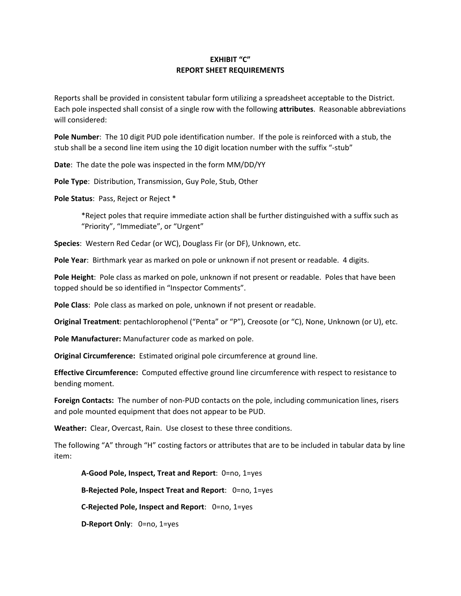## **EXHIBIT "C" REPORT SHEET REQUIREMENTS**

Reports shall be provided in consistent tabular form utilizing a spreadsheet acceptable to the District. Each pole inspected shall consist of a single row with the following **attributes**. Reasonable abbreviations will considered:

**Pole Number**: The 10 digit PUD pole identification number. If the pole is reinforced with a stub, the stub shall be a second line item using the 10 digit location number with the suffix "‐stub"

**Date**: The date the pole was inspected in the form MM/DD/YY

**Pole Type**: Distribution, Transmission, Guy Pole, Stub, Other

**Pole Status**: Pass, Reject or Reject \*

\*Reject poles that require immediate action shall be further distinguished with a suffix such as "Priority", "Immediate", or "Urgent"

**Species**: Western Red Cedar (or WC), Douglass Fir (or DF), Unknown, etc.

**Pole Year**: Birthmark year as marked on pole or unknown if not present or readable. 4 digits.

**Pole Height**: Pole class as marked on pole, unknown if not present or readable. Poles that have been topped should be so identified in "Inspector Comments".

**Pole Class**: Pole class as marked on pole, unknown if not present or readable.

**Original Treatment**: pentachlorophenol ("Penta" or "P"), Creosote (or "C), None, Unknown (or U), etc.

**Pole Manufacturer:** Manufacturer code as marked on pole.

**Original Circumference:** Estimated original pole circumference at ground line.

**Effective Circumference:** Computed effective ground line circumference with respect to resistance to bending moment.

**Foreign Contacts:** The number of non‐PUD contacts on the pole, including communication lines, risers and pole mounted equipment that does not appear to be PUD.

**Weather:** Clear, Overcast, Rain. Use closest to these three conditions.

The following "A" through "H" costing factors or attributes that are to be included in tabular data by line item:

**A‐Good Pole, Inspect, Treat and Report**: 0=no, 1=yes **B‐Rejected Pole, Inspect Treat and Report**: 0=no, 1=yes **C‐Rejected Pole, Inspect and Report**: 0=no, 1=yes **D‐Report Only**: 0=no, 1=yes